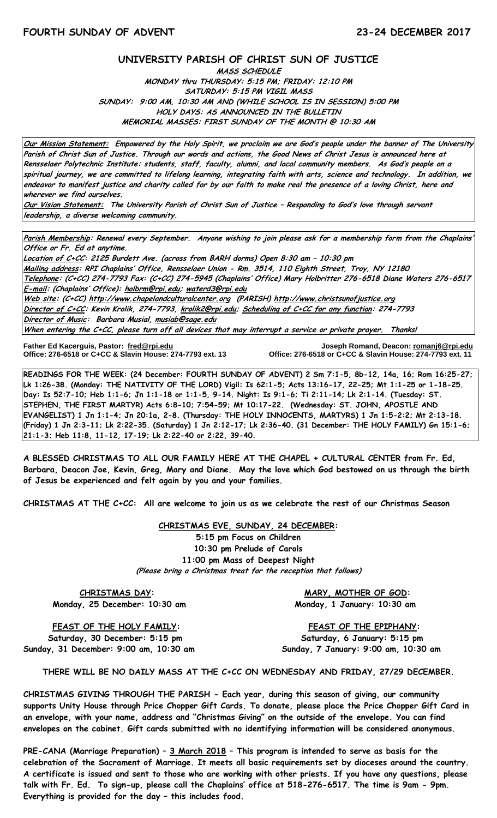## **UNIVERSITY PARISH OF CHRIST SUN OF JUSTICE**

**MASS SCHEDULE MONDAY thru THURSDAY: 5:15 PM; FRIDAY: 12:10 PM SATURDAY: 5:15 PM VIGIL MASS SUNDAY: 9:00 AM, 10:30 AM AND (WHILE SCHOOL IS IN SESSION) 5:00 PM HOLY DAYS: AS ANNOUNCED IN THE BULLETIN MEMORIAL MASSES: FIRST SUNDAY OF THE MONTH @ 10:30 AM**

**Our Mission Statement: Empowered by the Holy Spirit, we proclaim we are God's people under the banner of The University Parish of Christ Sun of Justice. Through our words and actions, the Good News of Christ Jesus is announced here at Rensselaer Polytechnic Institute: students, staff, faculty, alumni, and local community members. As God's people on a spiritual journey, we are committed to lifelong learning, integrating faith with arts, science and technology. In addition, we endeavor to manifest justice and charity called for by our faith to make real the presence of a loving Christ, here and wherever we find ourselves.**

**Our Vision Statement: The University Parish of Christ Sun of Justice – Responding to God's love through servant leadership, a diverse welcoming community.**

**Parish Membership: Renewal every September. Anyone wishing to join please ask for a membership form from the Chaplains' Office or Fr. Ed at anytime.**

**Location of C+CC: 2125 Burdett Ave. (across from BARH dorms) Open 8:30 am – 10:30 pm Mailing address: RPI Chaplains' Office, Rensselaer Union - Rm. 3514, 110 Eighth Street, Troy, NY 12180 Telephone: (C+CC) 274-7793 Fax: (C+CC) 274-5945 (Chaplains' Office) Mary Holbritter 276-6518 Diane Waters 276-6517 E-mail: (Chaplains' Office): [holbrm@rpi.edu;](mailto:holbrm@rpi.edu) waterd3@rpi.edu Web site: (C+CC[\) http://www.chapelandculturalcenter.org](http://www.chapelandculturalcenter.org/) (PARISH) http://www.christsunofjustice.org Director of C+CC: Kevin Krolik, 274-7793, krolik2@rpi.edu; Scheduling of C+CC for any function: 274-7793 Director of Music: Barbara Musial, [musiab@sage.edu](mailto:musiab@sage.edu) When entering the C+CC, please turn off all devices that may interrupt a service or private prayer. Thanks!** 

İ

**Father Ed Kacerguis, Pastor: [fred@rpi.edu](mailto:fred@rpi.edu) Joseph Romand, Deacon[: romanj6@rpi.edu](mailto:romanj6@rpi.edu) Office: 276-6518 or C+CC & Slavin House: 274-7793 ext. 13 Office: 276-6518 or C+CC & Slavin House: 274-7793 ext. 11**

**READINGS FOR THE WEEK: (24 December: FOURTH SUNDAY OF ADVENT) 2 Sm 7:1-5, 8b-12, 14a, 16; Rom 16:25-27; Lk 1:26-38. (Monday: THE NATIVITY OF THE LORD) Vigil: Is 62:1-5; Acts 13:16-17, 22-25; Mt 1:1-25 or 1-18-25. Day: Is 52:7-10; Heb 1:1-6; Jn 1:1-18 or 1:1-5, 9-14. Night: Is 9:1-6; Ti 2:11-14; Lk 2:1-14. (Tuesday: ST. STEPHEN, THE FIRST MARTYR) Acts 6:8-10; 7:54-59; Mt 10:17-22. (Wednesday: ST. JOHN, APOSTLE AND EVANGELIST) 1 Jn 1:1-4; Jn 20:1a, 2-8. (Thursday: THE HOLY INNOCENTS, MARTYRS) 1 Jn 1:5-2:2; Mt 2:13-18. (Friday) 1 Jn 2:3-11; Lk 2:22-35. (Saturday) 1 Jn 2:12-17; Lk 2:36-40. (31 December: THE HOLY FAMILY) Gn 15:1-6; 21:1-3; Heb 11:8, 11-12, 17-19; Lk 2:22-40 or 2:22, 39-40.**

**A BLESSED CHRISTMAS TO ALL OUR FAMILY HERE AT THE CHAPEL + CULTURAL CENTER from Fr. Ed, Barbara, Deacon Joe, Kevin, Greg, Mary and Diane. May the love which God bestowed on us through the birth of Jesus be experienced and felt again by you and your families.** 

**CHRISTMAS AT THE C+CC: All are welcome to join us as we celebrate the rest of our Christmas Season** 

**CHRISTMAS EVE, SUNDAY, 24 DECEMBER: 5:15 pm Focus on Children 10:30 pm Prelude of Carols 11:00 pm Mass of Deepest Night (Please bring a Christmas treat for the reception that follows)**

Monday, 25 December: 10:30 am Monday, 1 January: 10:30 am

**CHRISTMAS DAY:** MARY, MOTHER OF GOD:

**FEAST OF THE HOLY FAMILY: FEAST OF THE EPIPHANY: Saturday, 30 December: 5:15 pm Saturday, 6 January: 5:15 pm Sunday, 31 December: 9:00 am, 10:30 am Sunday, 7 January: 9:00 am, 10:30 am**

**THERE WILL BE NO DAILY MASS AT THE C+CC ON WEDNESDAY AND FRIDAY, 27/29 DECEMBER.**

**CHRISTMAS GIVING THROUGH THE PARISH - Each year, during this season of giving, our community supports Unity House through Price Chopper Gift Cards. To donate, please place the Price Chopper Gift Card in an envelope, with your name, address and "Christmas Giving" on the outside of the envelope. You can find envelopes on the cabinet. Gift cards submitted with no identifying information will be considered anonymous.** 

**PRE-CANA (Marriage Preparation) – 3 March 2018 – This program is intended to serve as basis for the celebration of the Sacrament of Marriage. It meets all basic requirements set by dioceses around the country. A certificate is issued and sent to those who are working with other priests. If you have any questions, please talk with Fr. Ed. To sign-up, please call the Chaplains' office at 518-276-6517. The time is 9am - 9pm. Everything is provided for the day – this includes food.**